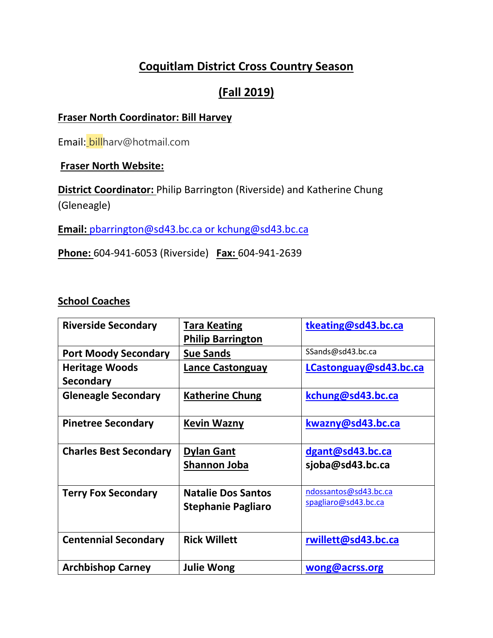# **Coquitlam District Cross Country Season**

# **(Fall 2019)**

# **Fraser North Coordinator: Bill Harvey**

Email: billharv@hotmail.com

# **Fraser North Website:**

**District Coordinator:** Philip Barrington (Riverside) and Katherine Chung (Gleneagle)

**Email:** [pbarrington@sd43.bc.ca](mailto:pbarrington@sd43.bc.ca) or [kchung@sd43.bc.ca](mailto:kchung@sd43.bc.ca)

**Phone:** 604-941-6053 (Riverside) **Fax:** 604-941-2639

# **School Coaches**

| <b>Riverside Secondary</b>    | <b>Tara Keating</b>                               | tkeating@sd43.bc.ca   |
|-------------------------------|---------------------------------------------------|-----------------------|
|                               | <b>Philip Barrington</b>                          |                       |
| <b>Port Moody Secondary</b>   | <b>Sue Sands</b>                                  | SSands@sd43.bc.ca     |
| <b>Heritage Woods</b>         | LCastonguay@sd43.bc.ca<br><b>Lance Castonguay</b> |                       |
| <b>Secondary</b>              |                                                   |                       |
| <b>Gleneagle Secondary</b>    | <b>Katherine Chung</b>                            | kchung@sd43.bc.ca     |
|                               |                                                   |                       |
| <b>Pinetree Secondary</b>     | <b>Kevin Wazny</b>                                | kwazny@sd43.bc.ca     |
|                               |                                                   |                       |
| <b>Charles Best Secondary</b> | <b>Dylan Gant</b>                                 | dgant@sd43.bc.ca      |
|                               | <u>Shannon Joba</u>                               | sjoba@sd43.bc.ca      |
|                               |                                                   |                       |
| <b>Terry Fox Secondary</b>    | <b>Natalie Dos Santos</b>                         | ndossantos@sd43.bc.ca |
|                               | <b>Stephanie Pagliaro</b>                         | spagliaro@sd43.bc.ca  |
|                               |                                                   |                       |
| <b>Centennial Secondary</b>   | <b>Rick Willett</b>                               | rwillett@sd43.bc.ca   |
|                               |                                                   |                       |
| <b>Archbishop Carney</b>      | <b>Julie Wong</b>                                 | wong@acrss.org        |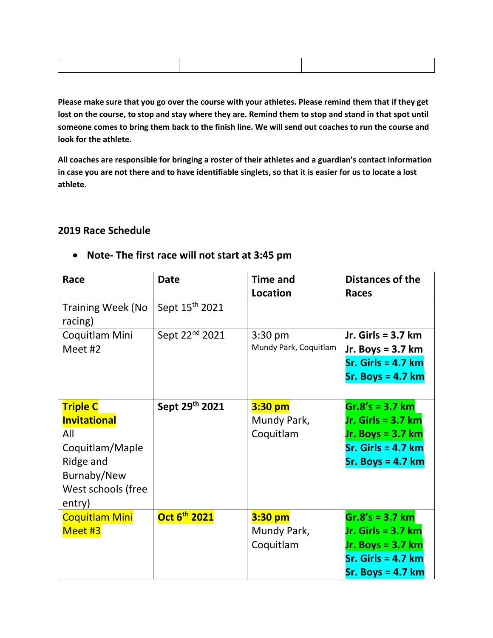**Please make sure that you go over the course with your athletes. Please remind them that if they get lost on the course, to stop and stay where they are. Remind them to stop and stand in that spot until someone comes to bring them back to the finish line. We will send out coaches to run the course and look for the athlete.** 

**All coaches are responsible for bringing a roster of their athletes and a guardian's contact information in case you are not there and to have identifiable singlets, so that it is easier for us to locate a lost athlete.** 

## **2019 Race Schedule**

| Race                                | <b>Date</b>                | <b>Time and</b>       | <b>Distances of the</b> |
|-------------------------------------|----------------------------|-----------------------|-------------------------|
|                                     |                            | Location              | <b>Races</b>            |
| <b>Training Week (No</b><br>racing) | Sept 15 <sup>th</sup> 2021 |                       |                         |
| Coquitlam Mini                      | Sept 22 <sup>nd</sup> 2021 | $3:30$ pm             | Jr. Girls = $3.7$ km    |
| Meet #2                             |                            | Mundy Park, Coquitlam | Jr. Boys = $3.7$ km     |
|                                     |                            |                       | $Sr.$ Girls = 4.7 $km$  |
|                                     |                            |                       | $Sr. Boys = 4.7 km$     |
|                                     |                            |                       |                         |
| <b>Triple C</b>                     | Sept 29th 2021             | $3:30$ pm             | $Gr.8's = 3.7 km$       |
| <b>Invitational</b>                 |                            | Mundy Park,           | Jr. Girls = $3.7$ km    |
| All                                 |                            | Coquitlam             | Jr. Boys = $3.7$ km     |
| Coquitlam/Maple                     |                            |                       | $Sr.$ Girls = 4.7 $km$  |
| Ridge and                           |                            |                       | $Sr. Boys = 4.7 km$     |
| Burnaby/New                         |                            |                       |                         |
| West schools (free                  |                            |                       |                         |
| entry)                              |                            |                       |                         |
| <b>Coquitlam Mini</b>               | Oct 6 <sup>th</sup> 2021   | 3:30 pm               | $Gr.8's = 3.7 km$       |
| Meet #3                             |                            | Mundy Park,           | Jr. Girls = $3.7$ km    |
|                                     |                            | Coquitlam             | Jr. Boys = $3.7$ km     |
|                                     |                            |                       | $Sr.$ Girls = 4.7 $km$  |
|                                     |                            |                       | $Sr.$ Boys = 4.7 $km$   |

### • **Note- The first race will not start at 3:45 pm**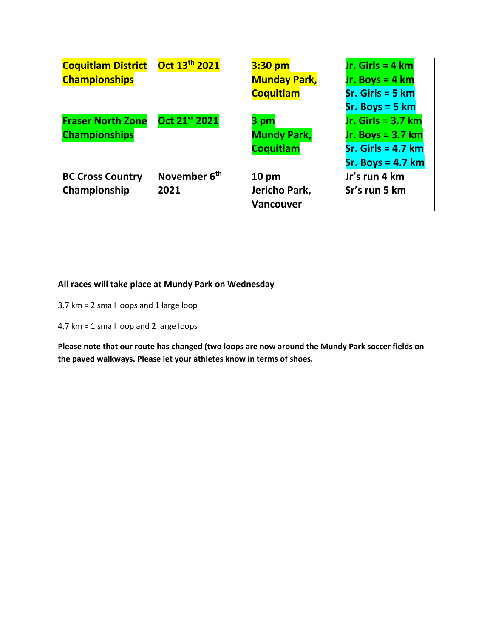| <b>Coquitlam District</b> | Oct 13 <sup>th</sup> 2021 | $3:30$ pm           | Jr. Girls = $4 \text{ km}$ |
|---------------------------|---------------------------|---------------------|----------------------------|
| <b>Championships</b>      |                           | <b>Munday Park,</b> | Jr. Boys = $4 \text{ km}$  |
|                           |                           | <b>Coquitlam</b>    | $Sr.$ Girls = 5 $km$       |
|                           |                           |                     | $Sr. Boys = 5 km$          |
| <b>Fraser North Zone</b>  | Oct 21st 2021             | 3 pm                | Jr. Girls = $3.7$ km       |
| <b>Championships</b>      |                           | <b>Mundy Park,</b>  | Jr. Boys = $3.7$ km        |
|                           |                           | <b>Coquitlam</b>    | $Sr.$ Girls = 4.7 km       |
|                           |                           |                     | $Sr. Boys = 4.7 km$        |
| <b>BC Cross Country</b>   | November 6 <sup>th</sup>  | 10 <sub>pm</sub>    | Jr's run 4 km              |
| Championship              | 2021                      | Jericho Park,       | Sr's run 5 km              |
|                           |                           | <b>Vancouver</b>    |                            |

## **All races will take place at Mundy Park on Wednesday**

- 3.7 km = 2 small loops and 1 large loop
- 4.7 km = 1 small loop and 2 large loops

**Please note that our route has changed (two loops are now around the Mundy Park soccer fields on the paved walkways. Please let your athletes know in terms of shoes.**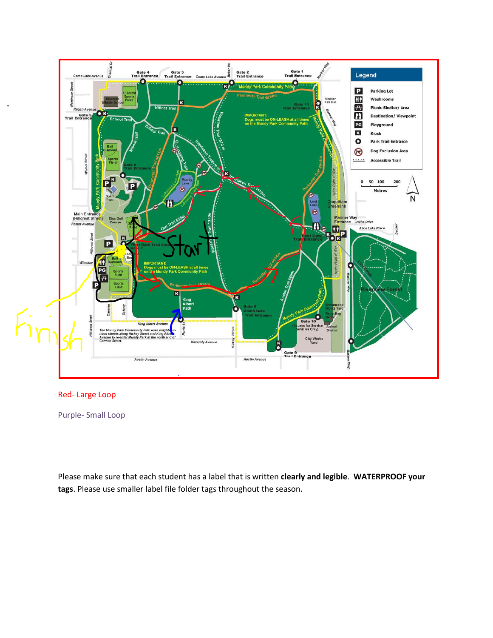

### Red- Large Loop

Purple- Small Loop

Please make sure that each student has a label that is written **clearly and legible**. **WATERPROOF your tags**. Please use smaller label file folder tags throughout the season.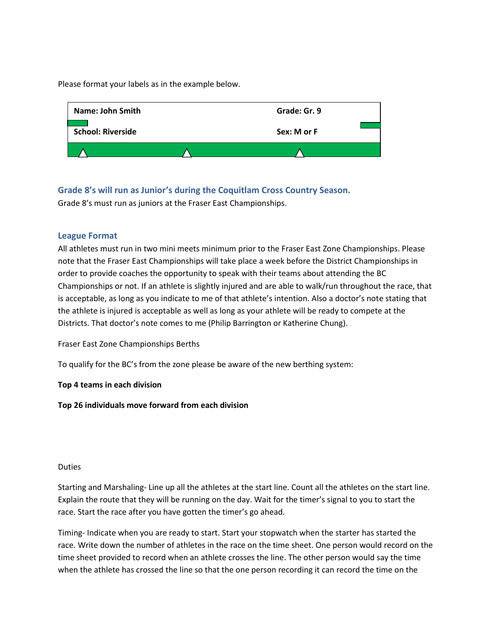Please format your labels as in the example below.



**Grade 8's will run as Junior's during the Coquitlam Cross Country Season.**  Grade 8's must run as juniors at the Fraser East Championships.

### **League Format**

All athletes must run in two mini meets minimum prior to the Fraser East Zone Championships. Please note that the Fraser East Championships will take place a week before the District Championships in order to provide coaches the opportunity to speak with their teams about attending the BC Championships or not. If an athlete is slightly injured and are able to walk/run throughout the race, that is acceptable, as long as you indicate to me of that athlete's intention. Also a doctor's note stating that the athlete is injured is acceptable as well as long as your athlete will be ready to compete at the Districts. That doctor's note comes to me (Philip Barrington or Katherine Chung).

Fraser East Zone Championships Berths

To qualify for the BC's from the zone please be aware of the new berthing system:

### **Top 4 teams in each division**

**Top 26 individuals move forward from each division**

#### Duties

Starting and Marshaling- Line up all the athletes at the start line. Count all the athletes on the start line. Explain the route that they will be running on the day. Wait for the timer's signal to you to start the race. Start the race after you have gotten the timer's go ahead.

Timing- Indicate when you are ready to start. Start your stopwatch when the starter has started the race. Write down the number of athletes in the race on the time sheet. One person would record on the time sheet provided to record when an athlete crosses the line. The other person would say the time when the athlete has crossed the line so that the one person recording it can record the time on the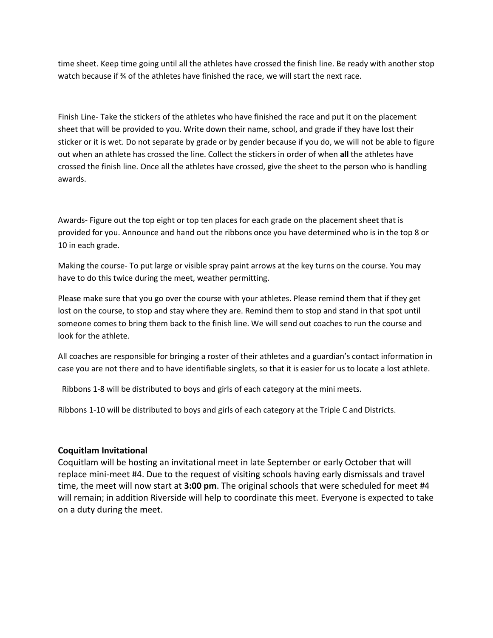time sheet. Keep time going until all the athletes have crossed the finish line. Be ready with another stop watch because if % of the athletes have finished the race, we will start the next race.

Finish Line- Take the stickers of the athletes who have finished the race and put it on the placement sheet that will be provided to you. Write down their name, school, and grade if they have lost their sticker or it is wet. Do not separate by grade or by gender because if you do, we will not be able to figure out when an athlete has crossed the line. Collect the stickers in order of when **all** the athletes have crossed the finish line. Once all the athletes have crossed, give the sheet to the person who is handling awards.

Awards- Figure out the top eight or top ten places for each grade on the placement sheet that is provided for you. Announce and hand out the ribbons once you have determined who is in the top 8 or 10 in each grade.

Making the course- To put large or visible spray paint arrows at the key turns on the course. You may have to do this twice during the meet, weather permitting.

Please make sure that you go over the course with your athletes. Please remind them that if they get lost on the course, to stop and stay where they are. Remind them to stop and stand in that spot until someone comes to bring them back to the finish line. We will send out coaches to run the course and look for the athlete.

All coaches are responsible for bringing a roster of their athletes and a guardian's contact information in case you are not there and to have identifiable singlets, so that it is easier for us to locate a lost athlete.

Ribbons 1-8 will be distributed to boys and girls of each category at the mini meets.

Ribbons 1-10 will be distributed to boys and girls of each category at the Triple C and Districts.

### **Coquitlam Invitational**

Coquitlam will be hosting an invitational meet in late September or early October that will replace mini-meet #4. Due to the request of visiting schools having early dismissals and travel time, the meet will now start at **3:00 pm**. The original schools that were scheduled for meet #4 will remain; in addition Riverside will help to coordinate this meet. Everyone is expected to take on a duty during the meet.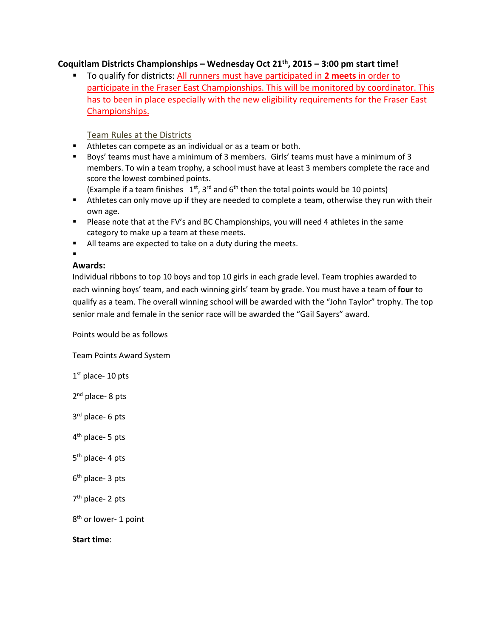### **Coquitlam Districts Championships – Wednesday Oct 21th, 2015 – 3:00 pm start time!**

▪ To qualify for districts: All runners must have participated in **2 meets** in order to participate in the Fraser East Championships. This will be monitored by coordinator. This has to been in place especially with the new eligibility requirements for the Fraser East Championships.

Team Rules at the Districts

- Athletes can compete as an individual or as a team or both.
- Boys' teams must have a minimum of 3 members. Girls' teams must have a minimum of 3 members. To win a team trophy, a school must have at least 3 members complete the race and score the lowest combined points.

(Example if a team finishes  $1^{st}$ , 3<sup>rd</sup> and 6<sup>th</sup> then the total points would be 10 points)

- **E** Athletes can only move up if they are needed to complete a team, otherwise they run with their own age.
- **•** Please note that at the FV's and BC Championships, you will need 4 athletes in the same category to make up a team at these meets.
- All teams are expected to take on a duty during the meets.

### ▪

### **Awards:**

Individual ribbons to top 10 boys and top 10 girls in each grade level. Team trophies awarded to each winning boys' team, and each winning girls' team by grade. You must have a team of **four** to qualify as a team. The overall winning school will be awarded with the "John Taylor" trophy. The top senior male and female in the senior race will be awarded the "Gail Sayers" award.

Points would be as follows

Team Points Award System

 $1<sup>st</sup>$  place- 10 pts

2<sup>nd</sup> place- 8 pts

3<sup>rd</sup> place- 6 pts

- 4<sup>th</sup> place- 5 pts
- 5<sup>th</sup> place- 4 pts
- 6<sup>th</sup> place- 3 pts
- 7<sup>th</sup> place- 2 pts

8<sup>th</sup> or lower- 1 point

**Start time**: